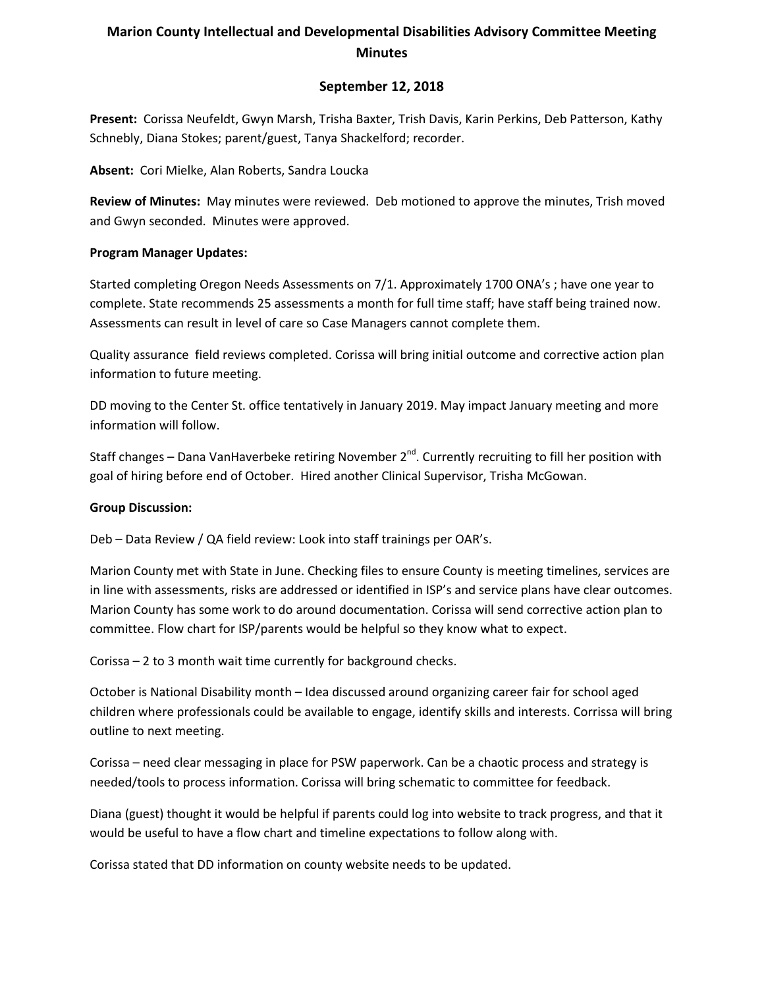# **Marion County Intellectual and Developmental Disabilities Advisory Committee Meeting Minutes**

# **September 12, 2018**

**Present:** Corissa Neufeldt, Gwyn Marsh, Trisha Baxter, Trish Davis, Karin Perkins, Deb Patterson, Kathy Schnebly, Diana Stokes; parent/guest, Tanya Shackelford; recorder.

**Absent:** Cori Mielke, Alan Roberts, Sandra Loucka

**Review of Minutes:** May minutes were reviewed. Deb motioned to approve the minutes, Trish moved and Gwyn seconded. Minutes were approved.

## **Program Manager Updates:**

Started completing Oregon Needs Assessments on 7/1. Approximately 1700 ONA's ; have one year to complete. State recommends 25 assessments a month for full time staff; have staff being trained now. Assessments can result in level of care so Case Managers cannot complete them.

Quality assurance field reviews completed. Corissa will bring initial outcome and corrective action plan information to future meeting.

DD moving to the Center St. office tentatively in January 2019. May impact January meeting and more information will follow.

Staff changes – Dana VanHaverbeke retiring November  $2^{nd}$ . Currently recruiting to fill her position with goal of hiring before end of October. Hired another Clinical Supervisor, Trisha McGowan.

# **Group Discussion:**

Deb – Data Review / QA field review: Look into staff trainings per OAR's.

Marion County met with State in June. Checking files to ensure County is meeting timelines, services are in line with assessments, risks are addressed or identified in ISP's and service plans have clear outcomes. Marion County has some work to do around documentation. Corissa will send corrective action plan to committee. Flow chart for ISP/parents would be helpful so they know what to expect.

Corissa – 2 to 3 month wait time currently for background checks.

October is National Disability month – Idea discussed around organizing career fair for school aged children where professionals could be available to engage, identify skills and interests. Corrissa will bring outline to next meeting.

Corissa – need clear messaging in place for PSW paperwork. Can be a chaotic process and strategy is needed/tools to process information. Corissa will bring schematic to committee for feedback.

Diana (guest) thought it would be helpful if parents could log into website to track progress, and that it would be useful to have a flow chart and timeline expectations to follow along with.

Corissa stated that DD information on county website needs to be updated.